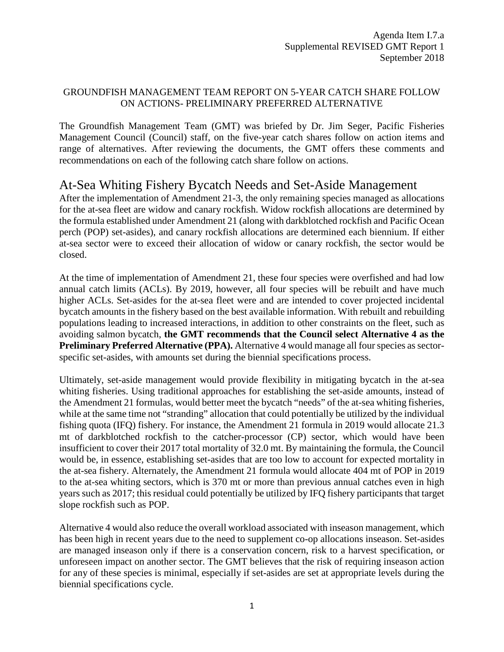#### GROUNDFISH MANAGEMENT TEAM REPORT ON 5-YEAR CATCH SHARE FOLLOW ON ACTIONS- PRELIMINARY PREFERRED ALTERNATIVE

The Groundfish Management Team (GMT) was briefed by Dr. Jim Seger, Pacific Fisheries Management Council (Council) staff, on the five-year catch shares follow on action items and range of alternatives. After reviewing the documents, the GMT offers these comments and recommendations on each of the following catch share follow on actions.

## At-Sea Whiting Fishery Bycatch Needs and Set-Aside Management

After the implementation of Amendment 21-3, the only remaining species managed as allocations for the at-sea fleet are widow and canary rockfish. Widow rockfish allocations are determined by the formula established under Amendment 21 (along with darkblotched rockfish and Pacific Ocean perch (POP) set-asides), and canary rockfish allocations are determined each biennium. If either at-sea sector were to exceed their allocation of widow or canary rockfish, the sector would be closed.

At the time of implementation of Amendment 21, these four species were overfished and had low annual catch limits (ACLs). By 2019, however, all four species will be rebuilt and have much higher ACLs. Set-asides for the at-sea fleet were and are intended to cover projected incidental bycatch amounts in the fishery based on the best available information. With rebuilt and rebuilding populations leading to increased interactions, in addition to other constraints on the fleet, such as avoiding salmon bycatch, **the GMT recommends that the Council select Alternative 4 as the Preliminary Preferred Alternative (PPA).** Alternative 4 would manage all four species as sectorspecific set-asides, with amounts set during the biennial specifications process.

Ultimately, set-aside management would provide flexibility in mitigating bycatch in the at-sea whiting fisheries. Using traditional approaches for establishing the set-aside amounts, instead of the Amendment 21 formulas, would better meet the bycatch "needs" of the at-sea whiting fisheries, while at the same time not "stranding" allocation that could potentially be utilized by the individual fishing quota (IFQ) fishery. For instance, the Amendment 21 formula in 2019 would allocate 21.3 mt of darkblotched rockfish to the catcher-processor (CP) sector, which would have been insufficient to cover their 2017 total mortality of 32.0 mt. By maintaining the formula, the Council would be, in essence, establishing set-asides that are too low to account for expected mortality in the at-sea fishery. Alternately, the Amendment 21 formula would allocate 404 mt of POP in 2019 to the at-sea whiting sectors, which is 370 mt or more than previous annual catches even in high years such as 2017; this residual could potentially be utilized by IFQ fishery participants that target slope rockfish such as POP.

Alternative 4 would also reduce the overall workload associated with inseason management, which has been high in recent years due to the need to supplement co-op allocations inseason. Set-asides are managed inseason only if there is a conservation concern, risk to a harvest specification, or unforeseen impact on another sector. The GMT believes that the risk of requiring inseason action for any of these species is minimal, especially if set-asides are set at appropriate levels during the biennial specifications cycle.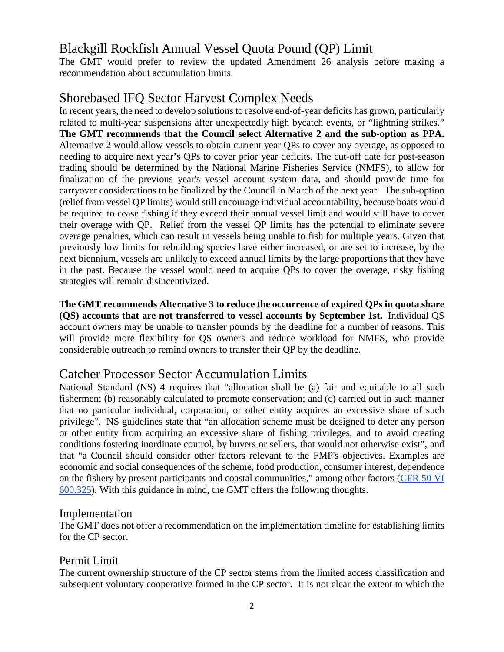# Blackgill Rockfish Annual Vessel Quota Pound (QP) Limit

The GMT would prefer to review the updated Amendment 26 analysis before making a recommendation about accumulation limits.

# Shorebased IFQ Sector Harvest Complex Needs

In recent years, the need to develop solutions to resolve end-of-year deficits has grown, particularly related to multi-year suspensions after unexpectedly high bycatch events, or "lightning strikes." **The GMT recommends that the Council select Alternative 2 and the sub-option as PPA.**  Alternative 2 would allow vessels to obtain current year QPs to cover any overage, as opposed to needing to acquire next year's QPs to cover prior year deficits. The cut-off date for post-season trading should be determined by the National Marine Fisheries Service (NMFS), to allow for finalization of the previous year's vessel account system data, and should provide time for carryover considerations to be finalized by the Council in March of the next year. The sub-option (relief from vessel QP limits) would still encourage individual accountability, because boats would be required to cease fishing if they exceed their annual vessel limit and would still have to cover their overage with QP. Relief from the vessel QP limits has the potential to eliminate severe overage penalties, which can result in vessels being unable to fish for multiple years. Given that previously low limits for rebuilding species have either increased, or are set to increase, by the next biennium, vessels are unlikely to exceed annual limits by the large proportions that they have in the past. Because the vessel would need to acquire QPs to cover the overage, risky fishing strategies will remain disincentivized.

**The GMT recommends Alternative 3 to reduce the occurrence of expired QPs in quota share (QS) accounts that are not transferred to vessel accounts by September 1st.** Individual QS account owners may be unable to transfer pounds by the deadline for a number of reasons. This will provide more flexibility for QS owners and reduce workload for NMFS, who provide considerable outreach to remind owners to transfer their QP by the deadline.

# Catcher Processor Sector Accumulation Limits

National Standard (NS) 4 requires that "allocation shall be (a) fair and equitable to all such fishermen; (b) reasonably calculated to promote conservation; and (c) carried out in such manner that no particular individual, corporation, or other entity acquires an excessive share of such privilege". NS guidelines state that "an allocation scheme must be designed to deter any person or other entity from acquiring an excessive share of fishing privileges, and to avoid creating conditions fostering inordinate control, by buyers or sellers, that would not otherwise exist", and that "a Council should consider other factors relevant to the FMP's objectives. Examples are economic and social consequences of the scheme, food production, consumer interest, dependence on the fishery by present participants and coastal communities," among other factors [\(CFR 50 VI](https://www.ecfr.gov/cgi-bin/retrieveECFR?gp=&SID=6b0acea089174af8594db02314f26914&mc=true&r=SECTION&n=se50.12.600_1325)  [600.325\)](https://www.ecfr.gov/cgi-bin/retrieveECFR?gp=&SID=6b0acea089174af8594db02314f26914&mc=true&r=SECTION&n=se50.12.600_1325). With this guidance in mind, the GMT offers the following thoughts.

#### Implementation

The GMT does not offer a recommendation on the implementation timeline for establishing limits for the CP sector.

### Permit Limit

The current ownership structure of the CP sector stems from the limited access classification and subsequent voluntary cooperative formed in the CP sector. It is not clear the extent to which the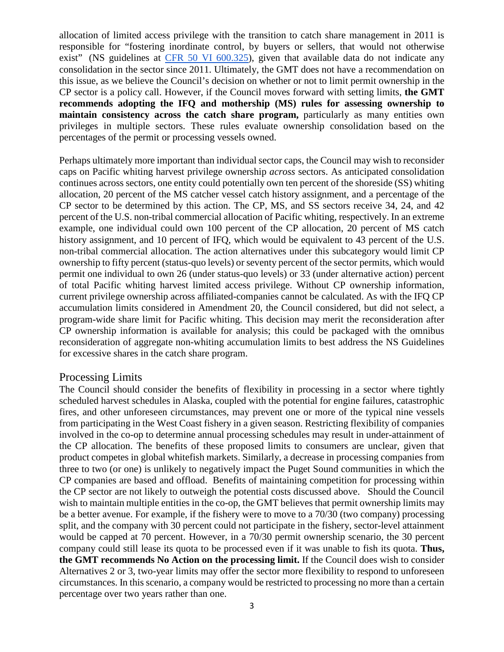allocation of limited access privilege with the transition to catch share management in 2011 is responsible for "fostering inordinate control, by buyers or sellers, that would not otherwise exist" (NS guidelines at [CFR 50 VI 600.325\)](https://www.ecfr.gov/cgi-bin/retrieveECFR?gp=&SID=6b0acea089174af8594db02314f26914&mc=true&r=SECTION&n=se50.12.600_1325), given that available data do not indicate any consolidation in the sector since 2011. Ultimately, the GMT does not have a recommendation on this issue, as we believe the Council's decision on whether or not to limit permit ownership in the CP sector is a policy call. However, if the Council moves forward with setting limits, **the GMT recommends adopting the IFQ and mothership (MS) rules for assessing ownership to maintain consistency across the catch share program,** particularly as many entities own privileges in multiple sectors. These rules evaluate ownership consolidation based on the percentages of the permit or processing vessels owned.

Perhaps ultimately more important than individual sector caps, the Council may wish to reconsider caps on Pacific whiting harvest privilege ownership *across* sectors. As anticipated consolidation continues across sectors, one entity could potentially own ten percent of the shoreside (SS) whiting allocation, 20 percent of the MS catcher vessel catch history assignment, and a percentage of the CP sector to be determined by this action. The CP, MS, and SS sectors receive 34, 24, and 42 percent of the U.S. non-tribal commercial allocation of Pacific whiting, respectively. In an extreme example, one individual could own 100 percent of the CP allocation, 20 percent of MS catch history assignment, and 10 percent of IFQ, which would be equivalent to 43 percent of the U.S. non-tribal commercial allocation. The action alternatives under this subcategory would limit CP ownership to fifty percent (status-quo levels) or seventy percent of the sector permits, which would permit one individual to own 26 (under status-quo levels) or 33 (under alternative action) percent of total Pacific whiting harvest limited access privilege. Without CP ownership information, current privilege ownership across affiliated-companies cannot be calculated. As with the IFQ CP accumulation limits considered in Amendment 20, the Council considered, but did not select, a program-wide share limit for Pacific whiting. This decision may merit the reconsideration after CP ownership information is available for analysis; this could be packaged with the omnibus reconsideration of aggregate non-whiting accumulation limits to best address the NS Guidelines for excessive shares in the catch share program.

#### Processing Limits

The Council should consider the benefits of flexibility in processing in a sector where tightly scheduled harvest schedules in Alaska, coupled with the potential for engine failures, catastrophic fires, and other unforeseen circumstances, may prevent one or more of the typical nine vessels from participating in the West Coast fishery in a given season. Restricting flexibility of companies involved in the co-op to determine annual processing schedules may result in under-attainment of the CP allocation. The benefits of these proposed limits to consumers are unclear, given that product competes in global whitefish markets. Similarly, a decrease in processing companies from three to two (or one) is unlikely to negatively impact the Puget Sound communities in which the CP companies are based and offload. Benefits of maintaining competition for processing within the CP sector are not likely to outweigh the potential costs discussed above. Should the Council wish to maintain multiple entities in the co-op, the GMT believes that permit ownership limits may be a better avenue. For example, if the fishery were to move to a 70/30 (two company) processing split, and the company with 30 percent could not participate in the fishery, sector-level attainment would be capped at 70 percent. However, in a 70/30 permit ownership scenario, the 30 percent company could still lease its quota to be processed even if it was unable to fish its quota. **Thus, the GMT recommends No Action on the processing limit.** If the Council does wish to consider Alternatives 2 or 3, two-year limits may offer the sector more flexibility to respond to unforeseen circumstances. In this scenario, a company would be restricted to processing no more than a certain percentage over two years rather than one.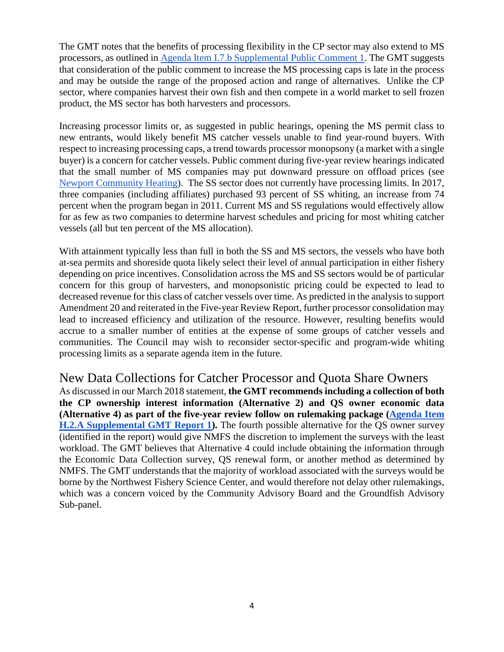The GMT notes that the benefits of processing flexibility in the CP sector may also extend to MS processors, as outlined in [Agenda Item I.7.b Supplemental Public Comment 1.](https://www.pcouncil.org/wp-content/uploads/2018/09/I7b_Supp_PubComm1_S.Nayani_SEPT2018BB.pdf) The GMT suggests that consideration of the public comment to increase the MS processing caps is late in the process and may be outside the range of the proposed action and range of alternatives. Unlike the CP sector, where companies harvest their own fish and then compete in a world market to sell frozen product, the MS sector has both harvesters and processors.

Increasing processor limits or, as suggested in public hearings, opening the MS permit class to new entrants, would likely benefit MS catcher vessels unable to find year-round buyers. With respect to increasing processing caps, a trend towards processor monopsony (a market with a single buyer) is a concern for catcher vessels. Public comment during five-year review hearings indicated that the small number of MS companies may put downward pressure on offload prices (see [Newport Community Hearing\)](http://www.pcouncil.org/wp-content/uploads/2016/10/HrgSum_Newport_Revised2016.pdf). The SS sector does not currently have processing limits. In 2017, three companies (including affiliates) purchased 93 percent of SS whiting, an increase from 74 percent when the program began in 2011. Current MS and SS regulations would effectively allow for as few as two companies to determine harvest schedules and pricing for most whiting catcher vessels (all but ten percent of the MS allocation).

With attainment typically less than full in both the SS and MS sectors, the vessels who have both at-sea permits and shoreside quota likely select their level of annual participation in either fishery depending on price incentives. Consolidation across the MS and SS sectors would be of particular concern for this group of harvesters, and monopsonistic pricing could be expected to lead to decreased revenue for this class of catcher vessels over time. As predicted in the analysis to support Amendment 20 and reiterated in the Five-year Review Report, further processor consolidation may lead to increased efficiency and utilization of the resource. However, resulting benefits would accrue to a smaller number of entities at the expense of some groups of catcher vessels and communities. The Council may wish to reconsider sector-specific and program-wide whiting processing limits as a separate agenda item in the future.

New Data Collections for Catcher Processor and Quota Share Owners As discussed in our March 2018 statement, **the GMT recommends including a collection of both the CP ownership interest information (Alternative 2) and QS owner economic data (Alternative 4) as part of the five-year review follow on rulemaking package [\(Agenda Item](https://www.pcouncil.org/wp-content/uploads/2018/03/H2a_Sup_GMT_Rpt1_Final_Mar2018BB.pdf)  [H.2.A Supplemental GMT Report 1\)](https://www.pcouncil.org/wp-content/uploads/2018/03/H2a_Sup_GMT_Rpt1_Final_Mar2018BB.pdf).** The fourth possible alternative for the QS owner survey (identified in the report) would give NMFS the discretion to implement the surveys with the least workload. The GMT believes that Alternative 4 could include obtaining the information through the Economic Data Collection survey, QS renewal form, or another method as determined by NMFS. The GMT understands that the majority of workload associated with the surveys would be borne by the Northwest Fishery Science Center, and would therefore not delay other rulemakings, which was a concern voiced by the Community Advisory Board and the Groundfish Advisory Sub-panel.